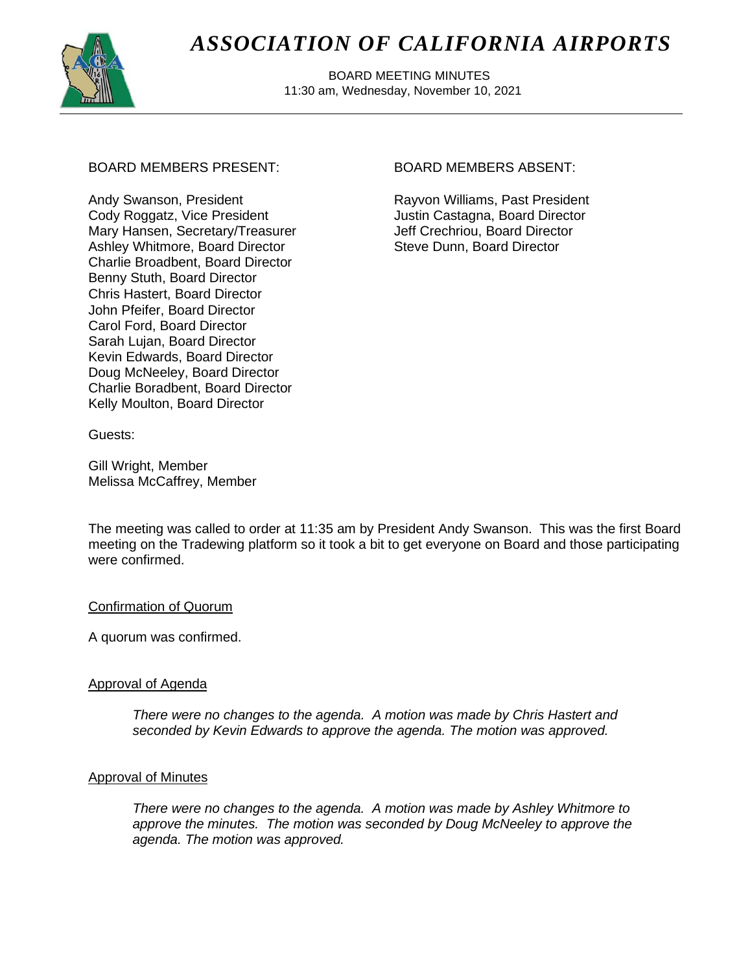

# *ASSOCIATION OF CALIFORNIA AIRPORTS*

 BOARD MEETING MINUTES 11:30 am, Wednesday, November 10, 2021

# BOARD MEMBERS PRESENT: BOARD MEMBERS ABSENT:

Andy Swanson, President Cody Roggatz, Vice President Mary Hansen, Secretary/Treasurer Ashley Whitmore, Board Director Charlie Broadbent, Board Director Benny Stuth, Board Director Chris Hastert, Board Director John Pfeifer, Board Director Carol Ford, Board Director Sarah Lujan, Board Director Kevin Edwards, Board Director Doug McNeeley, Board Director Charlie Boradbent, Board Director Kelly Moulton, Board Director

Rayvon Williams, Past President Justin Castagna, Board Director Jeff Crechriou, Board Director Steve Dunn, Board Director

Guests:

Gill Wright, Member Melissa McCaffrey, Member

The meeting was called to order at 11:35 am by President Andy Swanson. This was the first Board meeting on the Tradewing platform so it took a bit to get everyone on Board and those participating were confirmed.

# Confirmation of Quorum

A quorum was confirmed.

# Approval of Agenda

*There were no changes to the agenda. A motion was made by Chris Hastert and seconded by Kevin Edwards to approve the agenda. The motion was approved.*

#### Approval of Minutes

*There were no changes to the agenda. A motion was made by Ashley Whitmore to approve the minutes. The motion was seconded by Doug McNeeley to approve the agenda. The motion was approved.*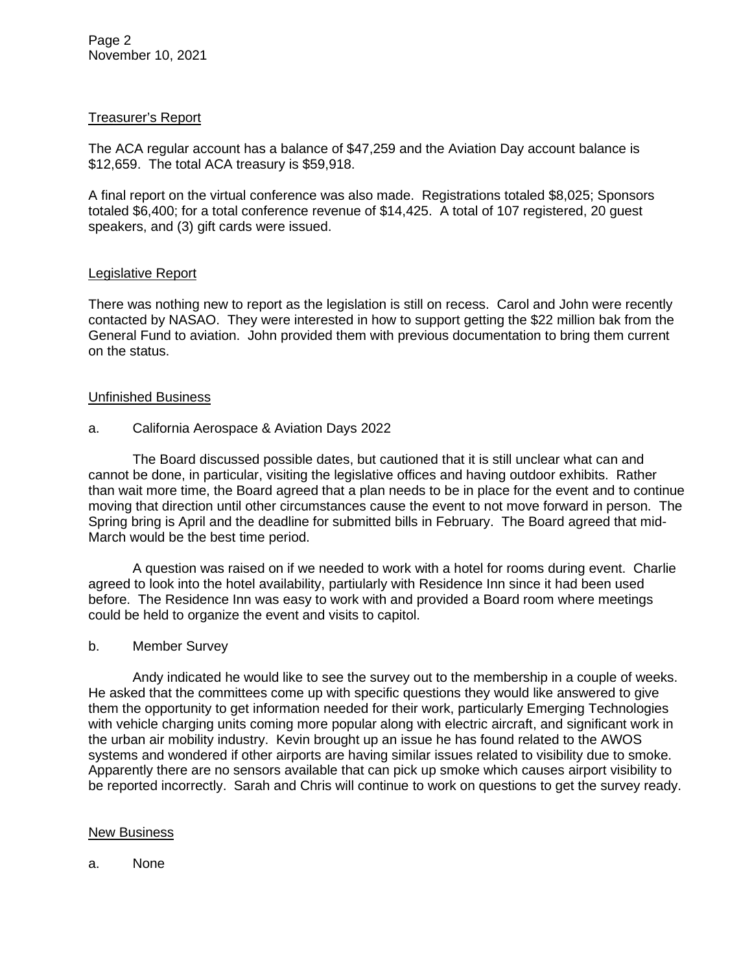# Treasurer's Report

The ACA regular account has a balance of \$47,259 and the Aviation Day account balance is \$12,659. The total ACA treasury is \$59,918.

A final report on the virtual conference was also made. Registrations totaled \$8,025; Sponsors totaled \$6,400; for a total conference revenue of \$14,425. A total of 107 registered, 20 guest speakers, and (3) gift cards were issued.

### Legislative Report

There was nothing new to report as the legislation is still on recess. Carol and John were recently contacted by NASAO. They were interested in how to support getting the \$22 million bak from the General Fund to aviation. John provided them with previous documentation to bring them current on the status.

### Unfinished Business

### a. California Aerospace & Aviation Days 2022

The Board discussed possible dates, but cautioned that it is still unclear what can and cannot be done, in particular, visiting the legislative offices and having outdoor exhibits. Rather than wait more time, the Board agreed that a plan needs to be in place for the event and to continue moving that direction until other circumstances cause the event to not move forward in person. The Spring bring is April and the deadline for submitted bills in February. The Board agreed that mid-March would be the best time period.

A question was raised on if we needed to work with a hotel for rooms during event. Charlie agreed to look into the hotel availability, partiularly with Residence Inn since it had been used before. The Residence Inn was easy to work with and provided a Board room where meetings could be held to organize the event and visits to capitol.

#### b. Member Survey

Andy indicated he would like to see the survey out to the membership in a couple of weeks. He asked that the committees come up with specific questions they would like answered to give them the opportunity to get information needed for their work, particularly Emerging Technologies with vehicle charging units coming more popular along with electric aircraft, and significant work in the urban air mobility industry. Kevin brought up an issue he has found related to the AWOS systems and wondered if other airports are having similar issues related to visibility due to smoke. Apparently there are no sensors available that can pick up smoke which causes airport visibility to be reported incorrectly. Sarah and Chris will continue to work on questions to get the survey ready.

#### New Business

#### a. None